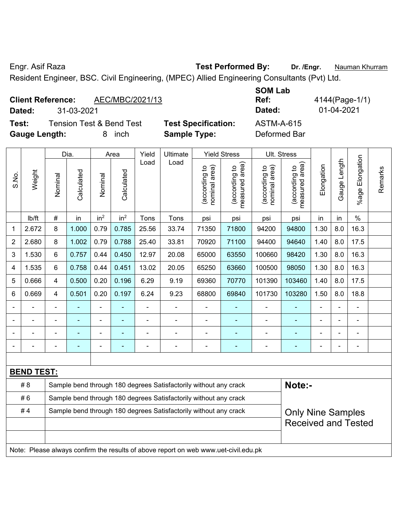Engr. Asif Raza **Test Performed By: Dr. /Engr.** Nauman Khurram

Resident Engineer, BSC. Civil Engineering, (MPEC) Allied Engineering Consultants (Pvt) Ltd.

## **Client Reference:** AEC/MBC/2021/13

**Dated:** 31-03-2021 **Dated:** 01-04-2021

**Test:** Tension Test & Bend Test **Test Specification:** ASTM-A-615 **Gauge Length:** 8 inch **Sample Type:** Deformed Bar

**SOM Lab Ref:** 4144(Page-1/1)

| S.No.             | Weight | Dia.           |            | Area                                                                                         |                 | Yield | Ultimate                                                         | <b>Yield Stress</b>            |                                 | Ult. Stress                    |                                 |            |              |                       |         |
|-------------------|--------|----------------|------------|----------------------------------------------------------------------------------------------|-----------------|-------|------------------------------------------------------------------|--------------------------------|---------------------------------|--------------------------------|---------------------------------|------------|--------------|-----------------------|---------|
|                   |        | Nominal        | Calculated | Nominal                                                                                      | Calculated      | Load  | Load                                                             | nominal area)<br>(according to | (according to<br>measured area) | nominal area)<br>(according to | (according to<br>measured area) | Elongation | Gauge Length | Elongation<br>$%$ age | Remarks |
|                   | lb/ft  | $\#$           | in         | in <sup>2</sup>                                                                              | in <sup>2</sup> | Tons  | Tons                                                             | psi                            | psi                             | psi                            | psi                             | in         | in           | $\%$                  |         |
| $\mathbf{1}$      | 2.672  | 8              | 1.000      | 0.79                                                                                         | 0.785           | 25.56 | 33.74                                                            | 71350                          | 71800                           | 94200                          | 94800                           | 1.30       | 8.0          | 16.3                  |         |
| $\overline{2}$    | 2.680  | 8              | 1.002      | 0.79                                                                                         | 0.788           | 25.40 | 33.81                                                            | 70920                          | 71100                           | 94400                          | 94640                           | 1.40       | 8.0          | 17.5                  |         |
| 3                 | 1.530  | $6\phantom{1}$ | 0.757      | 0.44                                                                                         | 0.450           | 12.97 | 20.08                                                            | 65000                          | 63550                           | 100660                         | 98420                           | 1.30       | 8.0          | 16.3                  |         |
| 4                 | 1.535  | 6              | 0.758      | 0.44                                                                                         | 0.451           | 13.02 | 20.05                                                            | 65250                          | 63660                           | 100500                         | 98050                           | 1.30       | 8.0          | 16.3                  |         |
| 5                 | 0.666  | 4              | 0.500      | 0.20                                                                                         | 0.196           | 6.29  | 9.19                                                             | 69360                          | 70770                           | 101390                         | 103460                          | 1.40       | 8.0          | 17.5                  |         |
| 6                 | 0.669  | 4              | 0.501      | 0.20                                                                                         | 0.197           | 6.24  | 9.23                                                             | 68800                          | 69840                           | 101730                         | 103280                          | 1.50       | 8.0          | 18.8                  |         |
|                   |        | $\blacksquare$ |            | $\overline{a}$                                                                               |                 |       | ä,                                                               |                                |                                 |                                |                                 |            |              |                       |         |
|                   |        |                |            | $\overline{\phantom{0}}$                                                                     |                 |       |                                                                  | $\overline{\phantom{a}}$       |                                 | $\overline{\phantom{a}}$       |                                 |            |              |                       |         |
|                   |        |                |            |                                                                                              |                 |       | $\blacksquare$                                                   |                                |                                 |                                |                                 |            |              |                       |         |
|                   |        |                |            | $\overline{a}$                                                                               | ۰               |       | $\blacksquare$                                                   | $\blacksquare$                 | ۰                               | $\overline{\phantom{0}}$       | ÷                               |            |              | $\blacksquare$        |         |
|                   |        |                |            |                                                                                              |                 |       |                                                                  |                                |                                 |                                |                                 |            |              |                       |         |
| <b>BEND TEST:</b> |        |                |            |                                                                                              |                 |       |                                                                  |                                |                                 |                                |                                 |            |              |                       |         |
|                   | #8     |                |            |                                                                                              |                 |       | Sample bend through 180 degrees Satisfactorily without any crack |                                |                                 |                                | Note:-                          |            |              |                       |         |
| #6                |        |                |            |                                                                                              |                 |       | Sample bend through 180 degrees Satisfactorily without any crack |                                |                                 |                                |                                 |            |              |                       |         |
| #4                |        |                |            | Sample bend through 180 degrees Satisfactorily without any crack<br><b>Only Nine Samples</b> |                 |       |                                                                  |                                |                                 |                                |                                 |            |              |                       |         |
|                   |        |                |            |                                                                                              |                 |       |                                                                  |                                | <b>Received and Tested</b>      |                                |                                 |            |              |                       |         |
|                   |        |                |            |                                                                                              |                 |       |                                                                  |                                |                                 |                                |                                 |            |              |                       |         |
|                   |        |                |            |                                                                                              |                 |       |                                                                  |                                |                                 |                                |                                 |            |              |                       |         |

Note: Please always confirm the results of above report on web www.uet-civil.edu.pk